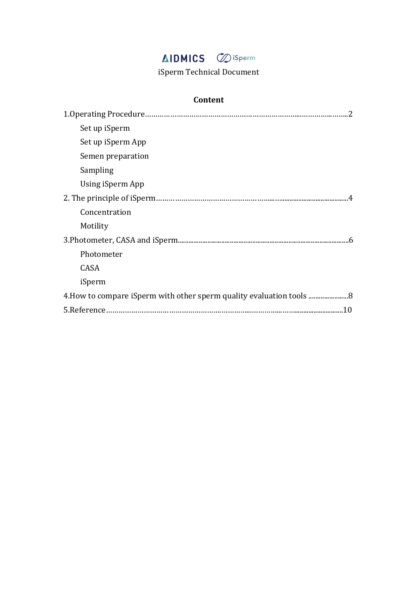# **AIDMICS C**isperm

iSperm Technical Document

## **Content**

| Set up iSperm                                                      |
|--------------------------------------------------------------------|
| Set up iSperm App                                                  |
| Semen preparation                                                  |
| Sampling                                                           |
| Using iSperm App                                                   |
|                                                                    |
| Concentration                                                      |
| Motility                                                           |
|                                                                    |
| Photometer                                                         |
| CASA                                                               |
| iSperm                                                             |
| 4. How to compare iSperm with other sperm quality evaluation tools |
|                                                                    |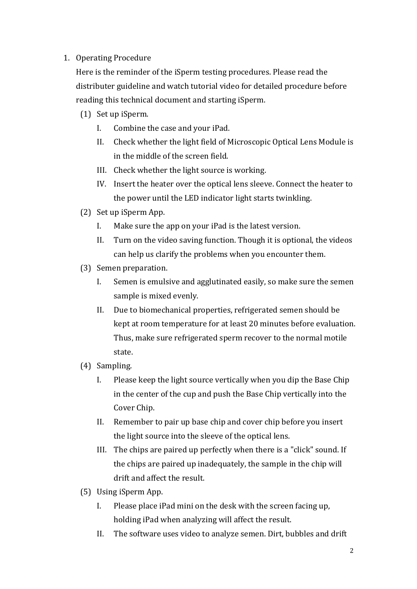### 1. Operating Procedure

Here is the reminder of the iSperm testing procedures. Please read the distributer guideline and watch tutorial video for detailed procedure before reading this technical document and starting iSperm.

- (1) Set up iSperm.
	- I. Combine the case and your iPad.
	- II. Check whether the light field of Microscopic Optical Lens Module is in the middle of the screen field.
	- III. Check whether the light source is working.
	- IV. Insert the heater over the optical lens sleeve. Connect the heater to the power until the LED indicator light starts twinkling.
- (2) Set up iSperm App.
	- I. Make sure the app on your iPad is the latest version.
	- II. Turn on the video saving function. Though it is optional, the videos can help us clarify the problems when you encounter them.
- (3) Semen preparation.
	- I. Semen is emulsive and agglutinated easily, so make sure the semen sample is mixed evenly.
	- II. Due to biomechanical properties, refrigerated semen should be kept at room temperature for at least 20 minutes before evaluation. Thus, make sure refrigerated sperm recover to the normal motile state.
- (4) Sampling.
	- I. Please keep the light source vertically when you dip the Base Chip in the center of the cup and push the Base Chip vertically into the Cover Chip.
	- II. Remember to pair up base chip and cover chip before you insert the light source into the sleeve of the optical lens.
	- III. The chips are paired up perfectly when there is a "click" sound. If the chips are paired up inadequately, the sample in the chip will drift and affect the result.
- (5) Using iSperm App.
	- I. Please place iPad mini on the desk with the screen facing up, holding iPad when analyzing will affect the result.
	- II. The software uses video to analyze semen. Dirt, bubbles and drift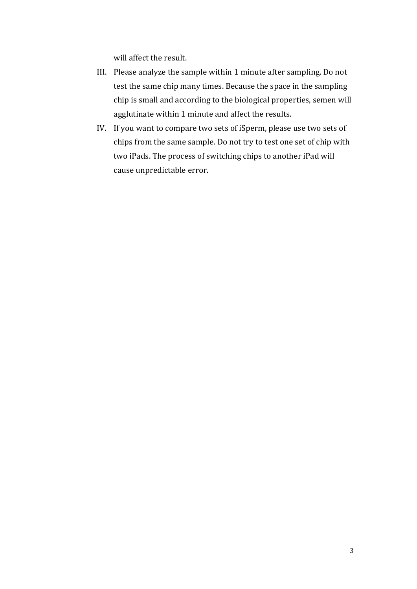will affect the result.

- III. Please analyze the sample within 1 minute after sampling. Do not test the same chip many times. Because the space in the sampling chip is small and according to the biological properties, semen will agglutinate within 1 minute and affect the results.
- IV. If you want to compare two sets of iSperm, please use two sets of chips from the same sample. Do not try to test one set of chip with two iPads. The process of switching chips to another iPad will cause unpredictable error.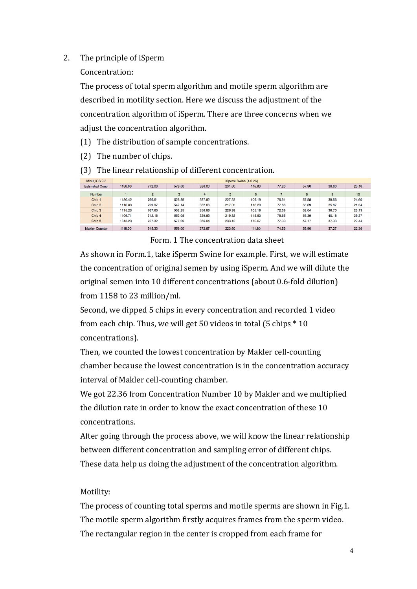#### 2. The principle of iSperm

Concentration:

The process of total sperm algorithm and motile sperm algorithm are described in motility section. Here we discuss the adjustment of the concentration algorithm of iSperm. There are three concerns when we adjust the concentration algorithm.

- (1) The distribution of sample concentrations.
- $(2)$  The number of chips.

(3) The linear relationship of different concentration.

| Mini1.iOS 9.3          | iSperm Swine (4.0.26) |                |        |        |        |        |       |       |       |                  |
|------------------------|-----------------------|----------------|--------|--------|--------|--------|-------|-------|-------|------------------|
| <b>Estimated Conc.</b> | 1158.00               | 772.00         | 579.00 | 386,00 | 231.60 | 115.80 | 77.20 | 57.90 | 38.60 | 23.16            |
|                        |                       |                |        |        |        |        |       |       |       |                  |
| <b>Number</b>          |                       | $\overline{2}$ | 3      | 4      | 5      | 6      |       | 8     | 9     | 10 <sup>10</sup> |
| Chip 1                 | 130.42                | 766.61         | 528.89 | 387.82 | 227.23 | 109.19 | 76.91 | 57.58 | 39.56 | 24.60            |
| Chip 2                 | 116.83                | 729.97         | 542.14 | 382.66 | 217.05 | 116.20 | 77.88 | 55.69 | 35.87 | 21.34            |
| Chip 3                 | 1115.23               | 767.60         | 552.25 | 356.86 | 226.38 | 105.16 | 72.59 | 52.04 | 36.70 | 23.13            |
| Chip 4                 | 109.71                | 712.16         | 552.08 | 329.83 | 219.82 | 115.90 | 78.65 | 55.39 | 40.18 | 26.37            |
| Chip <sub>5</sub>      | 1315.23               | 727.32         | 577.09 | 366.04 | 233.12 | 110.07 | 77.30 | 57.17 | 37.33 | 22.44            |
|                        |                       |                |        |        |        |        |       |       |       |                  |
| <b>Makler Counter</b>  | 1118.00               | 745.33         | 559.00 | 372.67 | 223.60 | 111.80 | 74.53 | 55.90 | 37.27 | 22.36            |

Form. 1 The concentration data sheet

As shown in Form.1, take iSperm Swine for example. First, we will estimate the concentration of original semen by using iSperm. And we will dilute the original semen into 10 different concentrations (about 0.6-fold dilution) from 1158 to 23 million/ml.

Second, we dipped 5 chips in every concentration and recorded 1 video from each chip. Thus, we will get 50 videos in total (5 chips  $*$  10 concentrations). 

Then, we counted the lowest concentration by Makler cell-counting chamber because the lowest concentration is in the concentration accuracy interval of Makler cell-counting chamber.

We got 22.36 from Concentration Number 10 by Makler and we multiplied the dilution rate in order to know the exact concentration of these 10 concentrations.

After going through the process above, we will know the linear relationship between different concentration and sampling error of different chips. These data help us doing the adjustment of the concentration algorithm.

### Motility:

The process of counting total sperms and motile sperms are shown in Fig.1. The motile sperm algorithm firstly acquires frames from the sperm video. The rectangular region in the center is cropped from each frame for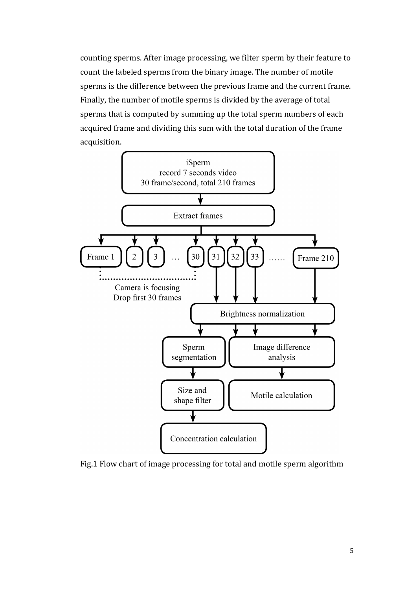counting sperms. After image processing, we filter sperm by their feature to count the labeled sperms from the binary image. The number of motile sperms is the difference between the previous frame and the current frame. Finally, the number of motile sperms is divided by the average of total sperms that is computed by summing up the total sperm numbers of each acquired frame and dividing this sum with the total duration of the frame acquisition.



Fig.1 Flow chart of image processing for total and motile sperm algorithm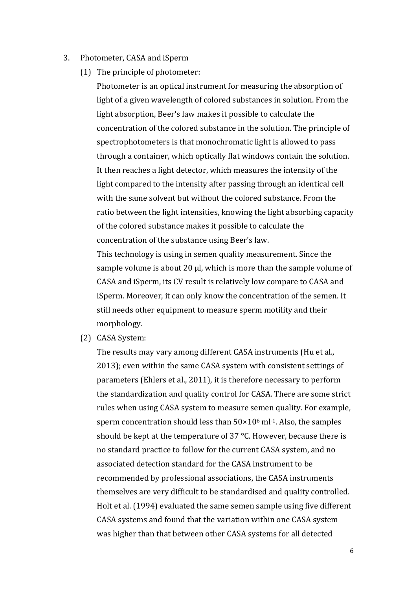- 3. Photometer, CASA and iSperm
	- (1) The principle of photometer:

Photometer is an optical instrument for measuring the absorption of light of a given wavelength of colored substances in solution. From the light absorption, Beer's law makes it possible to calculate the concentration of the colored substance in the solution. The principle of spectrophotometers is that monochromatic light is allowed to pass through a container, which optically flat windows contain the solution. It then reaches a light detector, which measures the intensity of the light compared to the intensity after passing through an identical cell with the same solvent but without the colored substance. From the ratio between the light intensities, knowing the light absorbing capacity of the colored substance makes it possible to calculate the concentration of the substance using Beer's law.

This technology is using in semen quality measurement. Since the sample volume is about 20  $\mu$ , which is more than the sample volume of CASA and iSperm, its CV result is relatively low compare to CASA and iSperm. Moreover, it can only know the concentration of the semen. It still needs other equipment to measure sperm motility and their morphology.

(2) CASA System:

The results may vary among different CASA instruments (Hu et al., 2013); even within the same CASA system with consistent settings of parameters (Ehlers et al., 2011), it is therefore necessary to perform the standardization and quality control for CASA. There are some strict rules when using CASA system to measure semen quality. For example, sperm concentration should less than  $50\times10^6$  ml<sup>-1</sup>. Also, the samples should be kept at the temperature of 37  $\degree$ C. However, because there is no standard practice to follow for the current CASA system, and no associated detection standard for the CASA instrument to be recommended by professional associations, the CASA instruments themselves are very difficult to be standardised and quality controlled. Holt et al. (1994) evaluated the same semen sample using five different CASA systems and found that the variation within one CASA system was higher than that between other CASA systems for all detected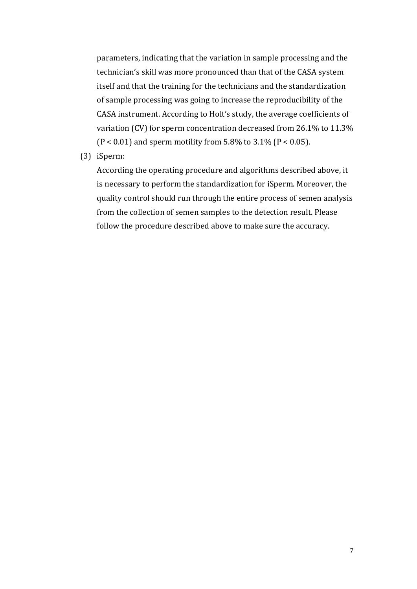parameters, indicating that the variation in sample processing and the technician's skill was more pronounced than that of the CASA system itself and that the training for the technicians and the standardization of sample processing was going to increase the reproducibility of the CASA instrument. According to Holt's study, the average coefficients of variation  $(CV)$  for sperm concentration decreased from 26.1% to 11.3%  $(P < 0.01)$  and sperm motility from 5.8% to 3.1%  $(P < 0.05)$ .

(3) iSperm:

According the operating procedure and algorithms described above, it is necessary to perform the standardization for iSperm. Moreover, the quality control should run through the entire process of semen analysis from the collection of semen samples to the detection result. Please follow the procedure described above to make sure the accuracy.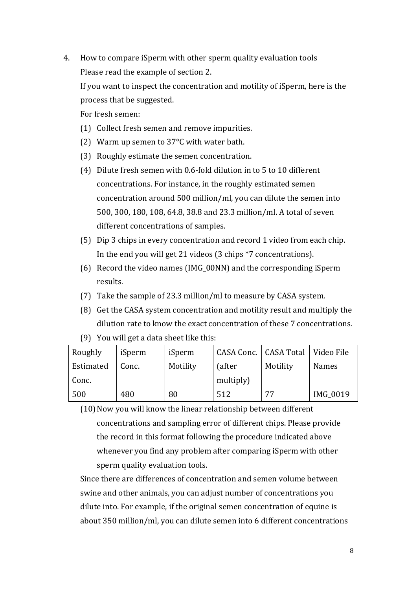4. How to compare iSperm with other sperm quality evaluation tools Please read the example of section 2.

If you want to inspect the concentration and motility of iSperm, here is the process that be suggested.

For fresh semen:

- (1) Collect fresh semen and remove impurities.
- (2) Warm up semen to  $37^{\circ}$ C with water bath.
- (3) Roughly estimate the semen concentration.
- (4) Dilute fresh semen with 0.6-fold dilution in to 5 to 10 different concentrations. For instance, in the roughly estimated semen concentration around 500 million/ml, you can dilute the semen into 500, 300, 180, 108, 64.8, 38.8 and 23.3 million/ml. A total of seven different concentrations of samples.
- (5) Dip 3 chips in every concentration and record 1 video from each chip. In the end you will get 21 videos (3 chips \*7 concentrations).
- (6) Record the video names (IMG\_00NN) and the corresponding iSperm results.
- (7) Take the sample of 23.3 million/ml to measure by CASA system.
- (8) Get the CASA system concentration and motility result and multiply the dilution rate to know the exact concentration of these 7 concentrations.

| Roughly   | iSperm | iSperm   | CASA Conc.   CASA Total |          | Video File      |
|-----------|--------|----------|-------------------------|----------|-----------------|
| Estimated | Conc.  | Motility | (after                  | Motility | <b>Names</b>    |
| Conc.     |        |          | multiply)               |          |                 |
| 500       | 480    | 80       | 512                     | 77       | <b>IMG 0019</b> |

(9) You will get a data sheet like this:

(10) Now you will know the linear relationship between different concentrations and sampling error of different chips. Please provide the record in this format following the procedure indicated above whenever you find any problem after comparing iSperm with other sperm quality evaluation tools.

Since there are differences of concentration and semen volume between swine and other animals, you can adjust number of concentrations you dilute into. For example, if the original semen concentration of equine is about 350 million/ml, you can dilute semen into 6 different concentrations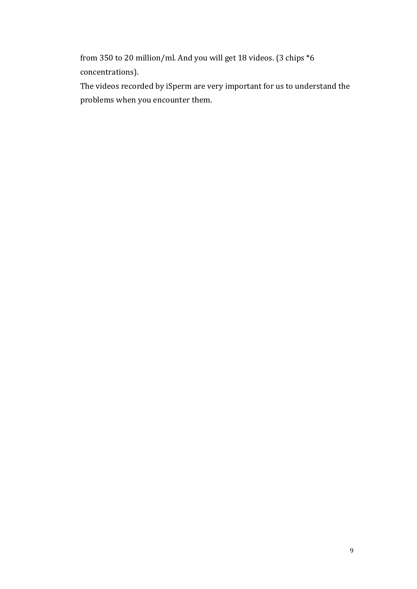from 350 to 20 million/ml. And you will get 18 videos. (3 chips  $*6$ concentrations).

The videos recorded by iSperm are very important for us to understand the problems when you encounter them.